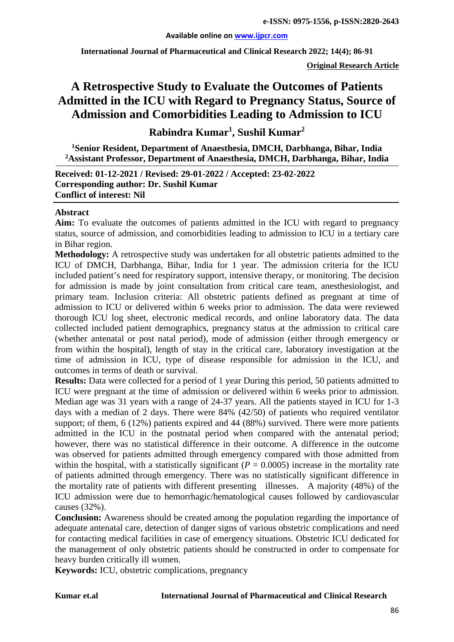#### **Available online on [www.ijpcr.com](http://www.ijpcr.com/)**

**International Journal of Pharmaceutical and Clinical Research 2022; 14(4); 86-91**

**Original Research Article**

# **A Retrospective Study to Evaluate the Outcomes of Patients Admitted in the ICU with Regard to Pregnancy Status, Source of Admission and Comorbidities Leading to Admission to ICU**

**Rabindra Kumar1 , Sushil Kumar2**

**1 Senior Resident, Department of Anaesthesia, DMCH, Darbhanga, Bihar, India 2 Assistant Professor, Department of Anaesthesia, DMCH, Darbhanga, Bihar, India**

**Received: 01-12-2021 / Revised: 29-01-2022 / Accepted: 23-02-2022 Corresponding author: Dr. Sushil Kumar Conflict of interest: Nil**

#### **Abstract**

**Aim:** To evaluate the outcomes of patients admitted in the ICU with regard to pregnancy status, source of admission, and comorbidities leading to admission to ICU in a tertiary care in Bihar region.

**Methodology:** A retrospective study was undertaken for all obstetric patients admitted to the ICU of DMCH, Darbhanga, Bihar, India for 1 year. The admission criteria for the ICU included patient's need for respiratory support, intensive therapy, or monitoring. The decision for admission is made by joint consultation from critical care team, anesthesiologist, and primary team. Inclusion criteria: All obstetric patients defined as pregnant at time of admission to ICU or delivered within 6 weeks prior to admission. The data were reviewed thorough ICU log sheet, electronic medical records, and online laboratory data. The data collected included patient demographics, pregnancy status at the admission to critical care (whether antenatal or post natal period), mode of admission (either through emergency or from within the hospital), length of stay in the critical care, laboratory investigation at the time of admission in ICU, type of disease responsible for admission in the ICU, and outcomes in terms of death or survival.

**Results:** Data were collected for a period of 1 year During this period, 50 patients admitted to ICU were pregnant at the time of admission or delivered within 6 weeks prior to admission. Median age was 31 years with a range of 24-37 years. All the patients stayed in ICU for 1-3 days with a median of 2 days. There were 84% (42/50) of patients who required ventilator support; of them, 6 (12%) patients expired and 44 (88%) survived. There were more patients admitted in the ICU in the postnatal period when compared with the antenatal period; however, there was no statistical difference in their outcome. A difference in the outcome was observed for patients admitted through emergency compared with those admitted from within the hospital, with a statistically significant  $(P = 0.0005)$  increase in the mortality rate of patients admitted through emergency. There was no statistically significant difference in the mortality rate of patients with different presenting illnesses. A majority (48%) of the ICU admission were due to hemorrhagic/hematological causes followed by cardiovascular causes (32%).

**Conclusion:** Awareness should be created among the population regarding the importance of adequate antenatal care, detection of danger signs of various obstetric complications and need for contacting medical facilities in case of emergency situations. Obstetric ICU dedicated for the management of only obstetric patients should be constructed in order to compensate for heavy burden critically ill women.

**Keywords:** ICU, obstetric complications, pregnancy

#### **Kumar et.al International Journal of Pharmaceutical and Clinical Research**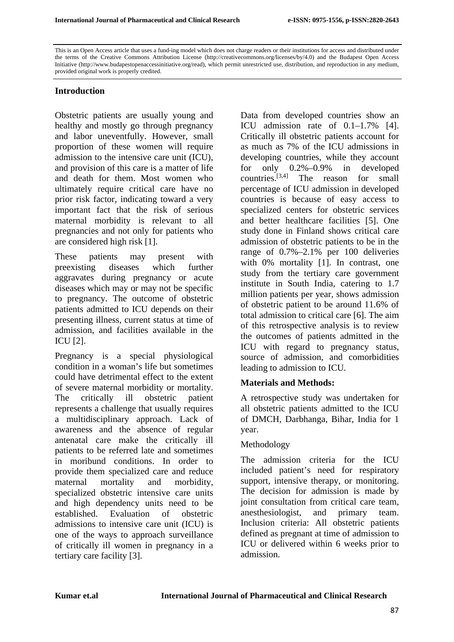This is an Open Access article that uses a fund-ing model which does not charge readers or their institutions for access and distributed under the terms of the Creative Commons Attribution License (http://creativecommons.org/licenses/by/4.0) and the Budapest Open Access Initiative (http://www.budapestopenaccessinitiative.org/read), which permit unrestricted use, distribution, and reproduction in any medium, provided original work is properly credited.

#### **Introduction**

Obstetric patients are usually young and healthy and mostly go through pregnancy and labor uneventfully. However, small proportion of these women will require admission to the intensive care unit (ICU), and provision of this care is a matter of life and death for them. Most women who ultimately require critical care have no prior risk factor, indicating toward a very important fact that the risk of serious maternal morbidity is relevant to all pregnancies and not only for patients who are considered high risk [1].

These patients may present with preexisting diseases which further aggravates during pregnancy or acute diseases which may or may not be specific to pregnancy. The outcome of obstetric patients admitted to ICU depends on their presenting illness, current status at time of admission, and facilities available in the ICU [2].

Pregnancy is a special physiological condition in a woman's life but sometimes could have detrimental effect to the extent of severe maternal morbidity or mortality. The critically ill obstetric patient represents a challenge that usually requires a multidisciplinary approach. Lack of awareness and the absence of regular antenatal care make the critically ill patients to be referred late and sometimes in moribund conditions. In order to provide them specialized care and reduce maternal mortality and morbidity, specialized obstetric intensive care units and high dependency units need to be established. Evaluation of obstetric admissions to intensive care unit (ICU) is one of the ways to approach surveillance of critically ill women in pregnancy in a tertiary care facility [3].

Data from developed countries show an ICU admission rate of 0.1–1.7% [4]. Critically ill obstetric patients account for as much as 7% of the ICU admissions in developing countries, while they account for only 0.2%–0.9% in developed countries.[3,4] The reason for small percentage of ICU admission in developed countries is because of easy access to specialized centers for obstetric services and better healthcare facilities [5]. One study done in Finland shows critical care admission of obstetric patients to be in the range of 0.7%–2.1% per 100 deliveries with 0% mortality [1]. In contrast, one study from the tertiary care government institute in South India, catering to 1.7 million patients per year, shows admission of obstetric patient to be around 11.6% of total admission to critical care [6]. The aim of this retrospective analysis is to review the outcomes of patients admitted in the ICU with regard to pregnancy status, source of admission, and comorbidities leading to admission to ICU.

### **Materials and Methods:**

A retrospective study was undertaken for all obstetric patients admitted to the ICU of DMCH, Darbhanga, Bihar, India for 1 year.

### Methodology

The admission criteria for the ICU included patient's need for respiratory support, intensive therapy, or monitoring. The decision for admission is made by joint consultation from critical care team, anesthesiologist, and primary team. Inclusion criteria: All obstetric patients defined as pregnant at time of admission to ICU or delivered within 6 weeks prior to admission.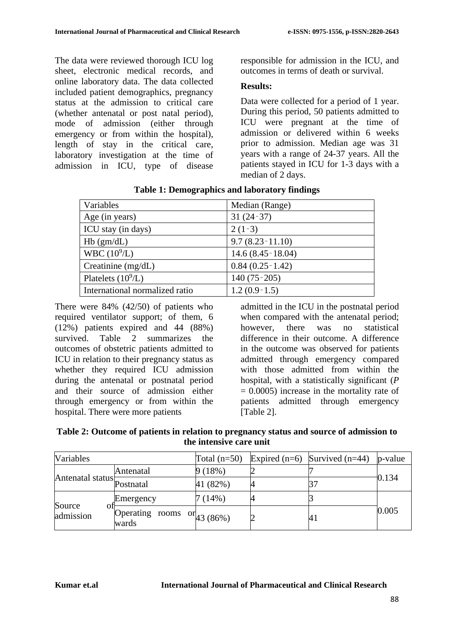The data were reviewed thorough ICU log sheet, electronic medical records, and online laboratory data. The data collected included patient demographics, pregnancy status at the admission to critical care (whether antenatal or post natal period), mode of admission (either through emergency or from within the hospital), length of stay in the critical care, laboratory investigation at the time of admission in ICU, type of disease responsible for admission in the ICU, and outcomes in terms of death or survival.

## **Results:**

Data were collected for a period of 1 year. During this period, 50 patients admitted to ICU were pregnant at the time of admission or delivered within 6 weeks prior to admission. Median age was 31 years with a range of 24-37 years. All the patients stayed in ICU for 1-3 days with a median of 2 days.

| Variables                      | Median (Range)      |
|--------------------------------|---------------------|
| Age (in years)                 | $31(24-37)$         |
| ICU stay (in days)             | $2(1-3)$            |
| $Hb$ (gm/dL)                   | $9.7(8.23-11.10)$   |
| WBC (10 <sup>9</sup> /L)       | $14.6(8.45-18.04)$  |
| Creatinine $(mg/dL)$           | $0.84(0.25 - 1.42)$ |
| Platelets $(10^9/L)$           | $140(75-205)$       |
| International normalized ratio | $1.2(0.9-1.5)$      |

**Table 1: Demographics and laboratory findings**

There were 84% (42/50) of patients who required ventilator support; of them, 6 (12%) patients expired and 44 (88%) survived. Table 2 summarizes the outcomes of obstetric patients admitted to ICU in relation to their pregnancy status as whether they required ICU admission during the antenatal or postnatal period and their source of admission either through emergency or from within the hospital. There were more patients

admitted in the ICU in the postnatal period when compared with the antenatal period; however there was no statistical difference in their outcome. A difference in the outcome was observed for patients admitted through emergency compared with those admitted from within the hospital, with a statistically significant (*P*   $= 0.0005$ ) increase in the mortality rate of patients admitted through emergency [Table 2].

| Table 2: Outcome of patients in relation to pregnancy status and source of admission to |  |  |
|-----------------------------------------------------------------------------------------|--|--|
| the intensive care unit                                                                 |  |  |

| Variables                     |                                                  | Total $(n=50)$ | Expired $(n=6)$ Survived $(n=44)$ | p-value |  |
|-------------------------------|--------------------------------------------------|----------------|-----------------------------------|---------|--|
| Antenatal status<br>Postnatal | Antenatal                                        | 9(18%)         |                                   | 0.134   |  |
|                               |                                                  | 41 (82%)       |                                   |         |  |
| Source<br>admission           | Emergency                                        | 7 (14%)        |                                   |         |  |
|                               | Operating rooms $\text{or}_{43 (86\%)}$<br>wards |                | 41                                | 0.005   |  |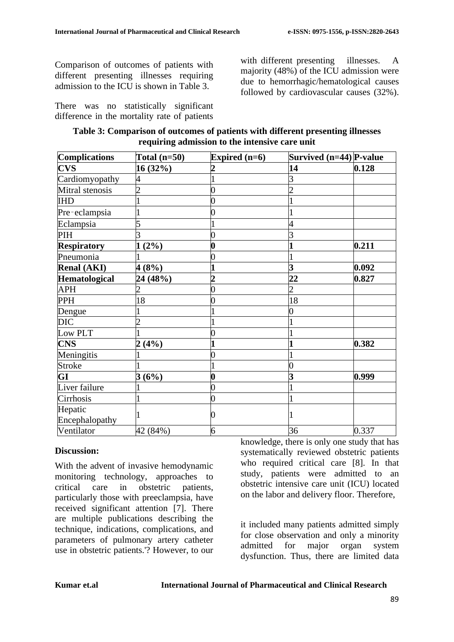Comparison of outcomes of patients with different presenting illnesses requiring admission to the ICU is shown in Table 3.

There was no statistically significant difference in the mortality rate of patients

with different presenting illnesses. A majority (48%) of the ICU admission were due to hemorrhagic/hematological causes followed by cardiovascular causes (32%).

| Table 3: Comparison of outcomes of patients with different presenting illnesses |  |  |  |
|---------------------------------------------------------------------------------|--|--|--|
| requiring admission to the intensive care unit                                  |  |  |  |

| Complications      | Total $(n=50)$ | Expired $(n=6)$  | Survived (n=44) P-value |       |  |
|--------------------|----------------|------------------|-------------------------|-------|--|
| <b>CVS</b>         | 16 (32%)       |                  | 14                      | 0.128 |  |
| Cardiomyopathy     | 4              |                  | 3                       |       |  |
| Mitral stenosis    |                | 0                |                         |       |  |
| <b>IHD</b>         |                |                  |                         |       |  |
| Pre-eclampsia      |                |                  |                         |       |  |
| Eclampsia          |                |                  |                         |       |  |
| PIH                |                |                  |                         |       |  |
| <b>Respiratory</b> | (2%)           | $\boldsymbol{0}$ |                         | 0.211 |  |
| Pneumonia          |                | 0                |                         |       |  |
| <b>Renal (AKI)</b> | 4(8%)          |                  | 3                       | 0.092 |  |
| Hematological      | 24 (48%)       | $\overline{2}$   | 22                      | 0.827 |  |
| <b>APH</b>         | 2              | 0                | 2                       |       |  |
| <b>PPH</b>         | 18             |                  | 18                      |       |  |
| Dengue             |                |                  | 0                       |       |  |
| <b>DIC</b>         |                |                  |                         |       |  |
| Low PLT            |                |                  |                         |       |  |
| <b>CNS</b>         | (4%)           |                  |                         | 0.382 |  |
| Meningitis         |                | 0                |                         |       |  |
| <b>Stroke</b>      |                |                  | 0                       |       |  |
| GI                 | 3(6%)          | 0                | 3                       | 0.999 |  |
| Liver failure      |                | 0                |                         |       |  |
| Cirrhosis          |                | 0                |                         |       |  |
| Hepatic            |                |                  |                         |       |  |
| Encephalopathy     |                | 0                |                         |       |  |
| Ventilator         | 42 (84%)       | 6                | 36                      | 0.337 |  |

#### **Discussion:**

With the advent of invasive hemodynamic monitoring technology, approaches to critical care in obstetric patients, particularly those with preeclampsia, have received significant attention [7]. There are multiple publications describing the technique, indications, complications, and parameters of pulmonary artery catheter use in obstetric patients.'? However, to our knowledge, there is only one study that has systematically reviewed obstetric patients who required critical care [8]. In that study, patients were admitted to an obstetric intensive care unit (ICU) located on the labor and delivery floor. Therefore,

it included many patients admitted simply for close observation and only a minority admitted for major organ system dysfunction. Thus, there are limited data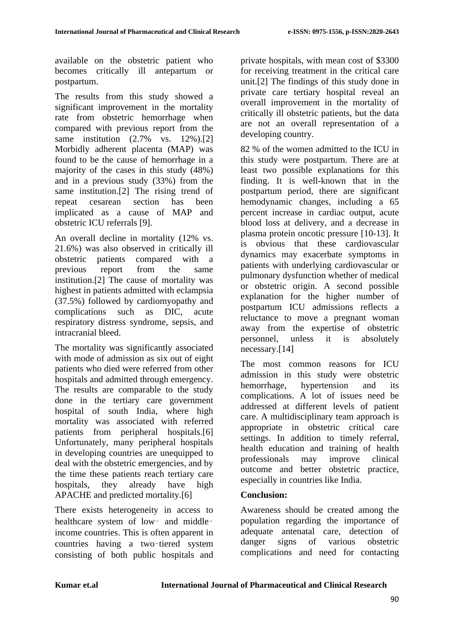available on the obstetric patient who becomes critically ill antepartum or postpartum.

The results from this study showed a significant improvement in the mortality rate from obstetric hemorrhage when compared with previous report from the same institution (2.7% vs. 12%).[2] Morbidly adherent placenta (MAP) was found to be the cause of hemorrhage in a majority of the cases in this study (48%) and in a previous study (33%) from the same institution.[2] The rising trend of repeat cesarean section has been implicated as a cause of MAP and obstetric ICU referrals [9].

An overall decline in mortality (12% vs. 21.6%) was also observed in critically ill obstetric patients compared with a previous report from the same institution.[2] The cause of mortality was highest in patients admitted with eclampsia (37.5%) followed by cardiomyopathy and complications such as DIC, acute respiratory distress syndrome, sepsis, and intracranial bleed.

The mortality was significantly associated with mode of admission as six out of eight patients who died were referred from other hospitals and admitted through emergency. The results are comparable to the study done in the tertiary care government hospital of south India, where high mortality was associated with referred patients from peripheral hospitals.[6] Unfortunately, many peripheral hospitals in developing countries are unequipped to deal with the obstetric emergencies, and by the time these patients reach tertiary care hospitals, they already have high APACHE and predicted mortality.[6]

There exists heterogeneity in access to healthcare system of low- and middleincome countries. This is often apparent in countries having a two-tiered system consisting of both public hospitals and private hospitals, with mean cost of \$3300 for receiving treatment in the critical care unit.[2] The findings of this study done in private care tertiary hospital reveal an overall improvement in the mortality of critically ill obstetric patients, but the data are not an overall representation of a developing country.

82 % of the women admitted to the ICU in this study were postpartum. There are at least two possible explanations for this finding. It is well-known that in the postpartum period, there are significant hemodynamic changes, including a 65 percent increase in cardiac output, acute blood loss at delivery, and a decrease in plasma protein oncotic pressure [10-13]. It is obvious that these cardiovascular dynamics may exacerbate symptoms in patients with underlying cardiovascular or pulmonary dysfunction whether of medical or obstetric origin. A second possible explanation for the higher number of postpartum ICU admissions reflects a reluctance to move a pregnant woman away from the expertise of obstetric personnel, unless it is absolutely necessary.[14]

The most common reasons for ICU admission in this study were obstetric hemorrhage, hypertension and its complications. A lot of issues need be addressed at different levels of patient care. A multidisciplinary team approach is appropriate in obstetric critical care settings. In addition to timely referral, health education and training of health professionals may improve clinical outcome and better obstetric practice, especially in countries like India.

# **Conclusion:**

Awareness should be created among the population regarding the importance of adequate antenatal care, detection of danger signs of various obstetric complications and need for contacting